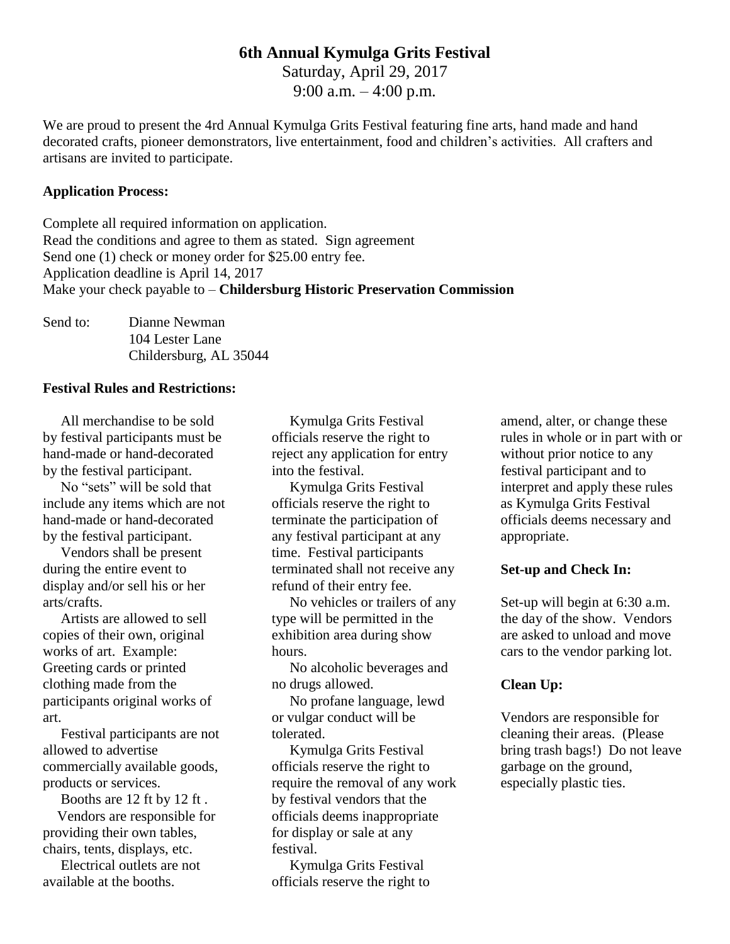## **6th Annual Kymulga Grits Festival**

Saturday, April 29, 2017 9:00 a.m.  $-4:00$  p.m.

We are proud to present the 4rd Annual Kymulga Grits Festival featuring fine arts, hand made and hand decorated crafts, pioneer demonstrators, live entertainment, food and children's activities. All crafters and artisans are invited to participate.

#### **Application Process:**

Complete all required information on application. Read the conditions and agree to them as stated. Sign agreement Send one (1) check or money order for \$25.00 entry fee. Application deadline is April 14, 2017 Make your check payable to – **Childersburg Historic Preservation Commission**

| Send to: | Dianne Newman          |  |  |  |  |
|----------|------------------------|--|--|--|--|
|          | 104 Lester Lane        |  |  |  |  |
|          | Childersburg, AL 35044 |  |  |  |  |

#### **Festival Rules and Restrictions:**

 All merchandise to be sold by festival participants must be hand-made or hand-decorated by the festival participant.

 No "sets" will be sold that include any items which are not hand-made or hand-decorated by the festival participant.

 Vendors shall be present during the entire event to display and/or sell his or her arts/crafts.

 Artists are allowed to sell copies of their own, original works of art. Example: Greeting cards or printed clothing made from the participants original works of art.

 Festival participants are not allowed to advertise commercially available goods, products or services.

 Booths are 12 ft by 12 ft . Vendors are responsible for providing their own tables, chairs, tents, displays, etc.

 Electrical outlets are not available at the booths.

 Kymulga Grits Festival officials reserve the right to reject any application for entry into the festival.

 Kymulga Grits Festival officials reserve the right to terminate the participation of any festival participant at any time. Festival participants terminated shall not receive any refund of their entry fee.

 No vehicles or trailers of any type will be permitted in the exhibition area during show hours.

 No alcoholic beverages and no drugs allowed.

 No profane language, lewd or vulgar conduct will be tolerated.

 Kymulga Grits Festival officials reserve the right to require the removal of any work by festival vendors that the officials deems inappropriate for display or sale at any festival.

 Kymulga Grits Festival officials reserve the right to

amend, alter, or change these rules in whole or in part with or without prior notice to any festival participant and to interpret and apply these rules as Kymulga Grits Festival officials deems necessary and appropriate.

#### **Set-up and Check In:**

Set-up will begin at 6:30 a.m. the day of the show. Vendors are asked to unload and move cars to the vendor parking lot.

#### **Clean Up:**

Vendors are responsible for cleaning their areas. (Please bring trash bags!) Do not leave garbage on the ground, especially plastic ties.